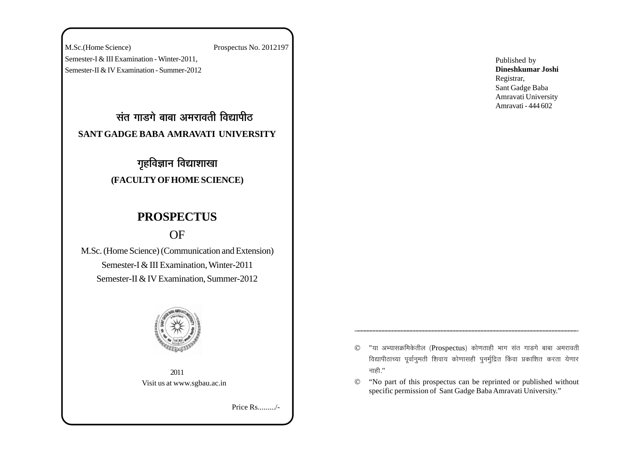M.Sc.(Home Science) Prospectus No. 2012197 Semester-I & III Examination - Winter-2011, Semester-II & IV Examination - Summer-2012

<u>संत गाडगे बाबा अमरावती विद्यापीठ</u> **SANT GADGE BABA AMRAVATI UNIVERSITY**

# **गृहविज्ञान विद्याशाखा (FACULTY OF HOME SCIENCE)**

# **PROSPECTUS**

# OF

M.Sc. (Home Science) (Communication and Extension) Semester-I & III Examination, Winter-2011 Semester-II & IV Examination, Summer-2012



2011 Visit us at www.sgbau.ac.in

Price Rs........./-

Published by **Dineshkumar Joshi** Registrar, Sant Gadge Baba Amravati University Amravati - 444 602

- $©$  "या अभ्यासक्रमिकेतील (Prospectus) कोणताही भाग संत गाडगे बाबा अमरावती विद्यापीठाच्या पूर्वानुमती शिवाय कोणासही पुनर्मुद्रित किंवा प्रकाशित करता येणार नाही."
- © "No part of this prospectus can be reprinted or published without specific permission of Sant Gadge Baba Amravati University."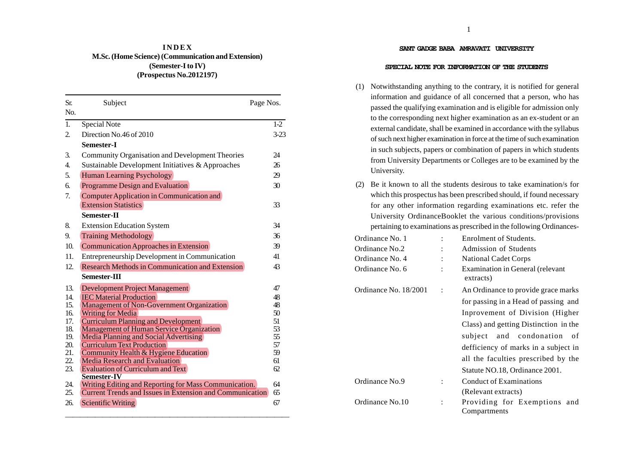# **I N D E X M.Sc. (Home Science) (Communication and Extension) (Semester-I to IV) (Prospectus No.2012197)**

| Sr.              | Subject                                                                           | Page Nos. |
|------------------|-----------------------------------------------------------------------------------|-----------|
| N <sub>0</sub>   |                                                                                   |           |
| $\overline{1}$ . | <b>Special Note</b>                                                               | $1-2$     |
| 2.               | Direction No.46 of 2010                                                           | $3 - 23$  |
|                  | Semester-I                                                                        |           |
| 3.               | Community Organisation and Development Theories                                   | 24        |
| $\overline{4}$ . | Sustainable Development Initiatives & Approaches                                  | 26        |
| 5.               | Human Learning Psychology                                                         | 29        |
| б.               | Programme Design and Evaluation                                                   | 30        |
| 7.               | Computer Application in Communication and                                         |           |
|                  | <b>Extension Statistics</b>                                                       | 33        |
|                  | Semester-II                                                                       |           |
| 8.               | <b>Extension Education System</b>                                                 | 34        |
| 9.               | <b>Training Methodology</b>                                                       | 36        |
| 10.              | Communication Approaches in Extension                                             | 39        |
| 11.              | Entrepreneurship Development in Communication                                     | 41        |
| 12.              | Research Methods in Communication and Extension                                   | 43        |
|                  | Semester-III                                                                      |           |
| 13.              | Development Project Management                                                    | 47        |
| 14.              | <b>IEC Material Production</b>                                                    | 48        |
| 15.              | Management of Non-Government Organization                                         | 48        |
| 16.              | <b>Writing for Media</b>                                                          | 50        |
| 17.              | <b>Curriculum Planning and Development</b>                                        | 51        |
| 18.<br>19.       | Management of Human Service Organization<br>Media Planning and Social Advertising | 53<br>55  |
| 20.              | <b>Curriculum Text Production</b>                                                 | 57        |
| 21.              | Community Health & Hygiene Education                                              | 59        |
| 22.              | <b>Media Research and Evaluation</b>                                              | 61        |
| 23.              | <b>Evaluation of Curriculum and Text</b>                                          | 62        |
|                  | <b>Semester-IV</b>                                                                |           |
| 24.              | Writing Editing and Reporting for Mass Communication.                             | 64        |
| 25.              | <b>Current Trends and Issues in Extension and Communication</b>                   | 65        |
| 26.              | Scientific Writing                                                                | 67        |

#### **SANT GADGE BABA AMRAVATI UNIVERSITY**

#### **SPECIAL NOTE FOR INFORMATION OF THE STUDENTS**

- (1) Notwithstanding anything to the contrary, it is notified for general information and guidance of all concerned that a person, who has passed the qualifying examination and is eligible for admission only to the corresponding next higher examination as an ex-student or an external candidate, shall be examined in accordance with the syllabus of such next higher examination in force at the time of such examination in such subjects, papers or combination of papers in which students from University Departments or Colleges are to be examined by the University.
- (2) Be it known to all the students desirous to take examination/s for which this prospectus has been prescribed should, if found necessary for any other information regarding examinations etc. refer the University OrdinanceBooklet the various conditions/provisions pertaining to examinations as prescribed in the following Ordinances-

| Ordinance No. 1       |                | Enrolment of Students.                        |
|-----------------------|----------------|-----------------------------------------------|
| Ordinance No.2        |                | <b>Admission of Students</b>                  |
| Ordinance No. 4       |                | <b>National Cadet Corps</b>                   |
| Ordinance No. 6       |                | Examination in General (relevant<br>extracts) |
| Ordinance No. 18/2001 | $\ddot{\cdot}$ | An Ordinance to provide grace marks           |
|                       |                | for passing in a Head of passing and          |
|                       |                | Inprovement of Division (Higher               |
|                       |                | Class) and getting Distinction in the         |
|                       |                | subject and condonation<br>of                 |
|                       |                | defficiency of marks in a subject in          |
|                       |                | all the faculties prescribed by the           |
|                       |                | Statute NO.18, Ordinance 2001.                |
| Ordinance No.9        |                | Conduct of Examinations                       |
|                       |                | (Relevant extracts)                           |
| Ordinance No.10       | $\ddot{\cdot}$ | Providing for Exemptions and                  |
|                       |                | Compartments                                  |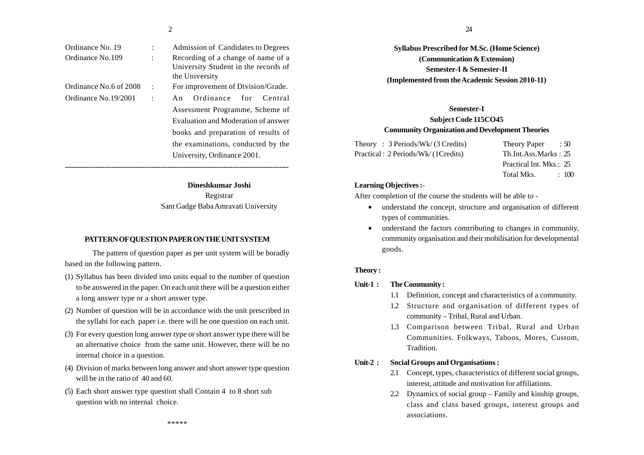| Ordinance No. 19       |  |
|------------------------|--|
| Ordinance No.109       |  |
|                        |  |
|                        |  |
| Ordinance No.6 of 2008 |  |
| Ordinance No. 19/2001  |  |
|                        |  |

Recording of a change of name of a University Student in the records of the University For improvement of Division/Grade. An Ordinance for Central Assessment Programme, Scheme of Evaluation and Moderation of answer books and preparation of results of the examinations, conducted by the

Admission of Candidates to Degrees

University, Ordinance 2001. **------------------------------------------------------------------------------------------------Dineshkumar Joshi**

Registrar Sant Gadge Baba Amravati University

#### **PATTERN OF QUESTION PAPER ON THE UNIT SYSTEM**

The pattern of question paper as per unit system will be boradly based on the following pattern.

- (1) Syllabus has been divided into units equal to the number of question to be answered in the paper. On each unit there will be a question either a long answer type or a short answer type.
- (2) Number of question will be in accordance with the unit prescribed in the syllabi for each paper i.e. there will be one question on each unit.
- (3) For every question long answer type or short answer type there will be an alternative choice from the same unit. However, there will be no internal choice in a question.
- (4) Division of marks between long answer and short answer type question will be in the ratio of 40 and 60.
- (5) Each short answer type question shall Contain 4 to 8 short sub question with no internal choice.

**Syllabus Prescribed for M.Sc. (Home Science) (Communication & Extension) Semester-I & Semester-II (Implemented from the Academic Session 2010-11)**

# **Semester-I Subject Code 115CO45 Community Organization and Development Theories**

| Theory: $3$ Periods/Wk/ $(3$ Credits) | Theory Paper<br>$\therefore$ 50 |
|---------------------------------------|---------------------------------|
| Practical: 2 Periods/Wk/(1 Credits)   | Th.Int.Ass.Marks: 25            |
|                                       | Practical Int. Mks.: 25         |

Total Mks  $\cdot$  100

#### **Learning Objectives :-**

After completion of the course the students will be able to -

- understand the concept, structure and organisation of different types of communities.
- • understand the factors comtributing to changes in community, community organisation and their mobilisation for developmental goods.

#### **Theory :**

#### **Unit-1 : The Community :**

- 1.1 Definition, concept and characteristics of a community.
- 1.2 Structure and organisation of different types of community – Tribal, Rural and Urban.
- 1.3 Comparison between Tribal, Rural and Urban Communities. Folkways, Taboos, Mores, Custom, Tradition.

# **Unit-2 : Social Groups and Organisations :**

- 2.1 Concept, types, characteristics of different social groups, interest, attitude and motivation for affiliations.
- 2.2 Dynamics of social group Family and kinship groups, class and class based groups, interest groups and associations.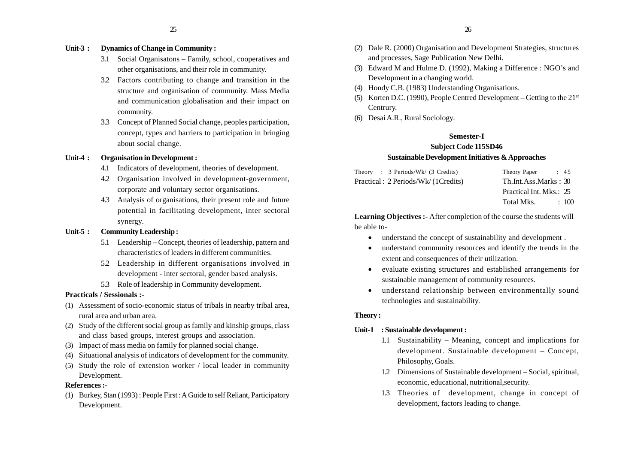# **Unit-3 : Dynamics of Change in Community :**

- 3.1 Social Organisatons Family, school, cooperatives and other organisations, and their role in community.
- 3.2 Factors contributing to change and transition in the structure and organisation of community. Mass Media and communication globalisation and their impact on community.
- 3.3 Concept of Planned Social change, peoples participation, concept, types and barriers to participation in bringing about social change.

#### **Unit-4 : Organisation in Development :**

- 4.1 Indicators of development, theories of development.
- 4.2 Organisation involved in development-government, corporate and voluntary sector organisations.
- 4.3 Analysis of organisations, their present role and future potential in facilitating development, inter sectoral synergy.

# **Unit-5 : Community Leadership :**

- 5.1 Leadership Concept, theories of leadership, pattern and characteristics of leaders in different communities.
- 5.2 Leadership in different organisations involved in development - inter sectoral, gender based analysis.
- 5.3 Role of leadership in Community development.

# **Practicals / Sessionals :-**

- (1) Assessment of socio-economic status of tribals in nearby tribal area, rural area and urban area.
- (2) Study of the different social group as family and kinship groups, class and class based groups, interest groups and association.
- (3) Impact of mass media on family for planned social change.
- (4) Situational analysis of indicators of development for the community.
- (5) Study the role of extension worker / local leader in community Development.

# **References :-**

(1) Burkey, Stan (1993) : People First : A Guide to self Reliant, Participatory Development.

- (2) Dale R. (2000) Organisation and Development Strategies, structures and processes, Sage Publication New Delhi.
- (3) Edward M and Hulme D. (1992), Making a Difference : NGO's and Development in a changing world.
- (4) Hondy C.B. (1983) Understanding Organisations.
- (5) Korten D.C. (1990), People Centred Development Getting to the  $21<sup>st</sup>$ Centrury.
- (6) Desai A.R., Rural Sociology.

# **Semester-I**

# **Subject Code 115SD46 Sustainable Development Initiatives & Approaches**

| Theory : 3 Periods/Wk/ (3 Credits)  | Theory Paper<br>$\therefore$ 45 |
|-------------------------------------|---------------------------------|
| Practical: 2 Periods/Wk/(1 Credits) | Th.Int.Ass.Marks: 30            |
|                                     | Practical Int. Mks.: 25         |
|                                     | Total Mks.<br>$\div$ 100        |

Learning Objectives :- After completion of the course the students will be able to-

- understand the concept of sustainability and development .
- • understand community resources and identify the trends in the extent and consequences of their utilization.
- • evaluate existing structures and established arrangements for sustainable management of community resources.
- • understand relationship between environmentally sound technologies and sustainability.

# **Theory :**

# **Unit-1 : Sustainable development :**

- 1.1 Sustainability Meaning, concept and implications for development. Sustainable development – Concept, Philosophy, Goals.
- 1.2 Dimensions of Sustainable development Social, spiritual, economic, educational, nutritional,security.
- 1.3 Theories of development, change in concept of development, factors leading to change.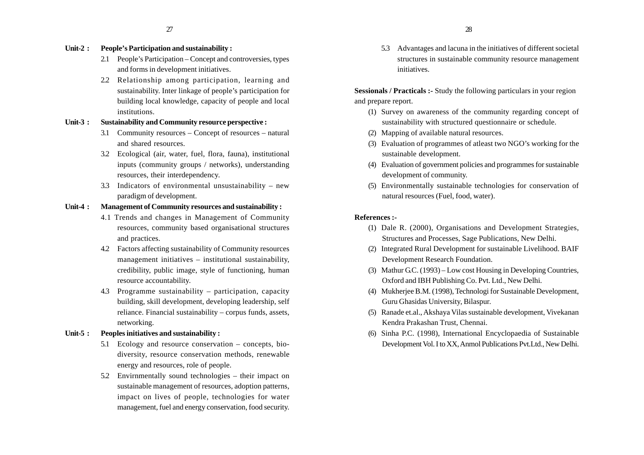#### **Unit-2 : People's Participation and sustainability :**

- 2.1 People's Participation Concept and controversies, types and forms in development initiatives.
- 2.2 Relationship among participation, learning and sustainability. Inter linkage of people's participation for building local knowledge, capacity of people and local institutions.

#### **Unit-3 : Sustainability and Community resource perspective :**

- 3.1 Community resources Concept of resources natural and shared resources.
- 3.2 Ecological (air, water, fuel, flora, fauna), institutional inputs (community groups / networks), understanding resources, their interdependency.
- 3.3 Indicators of environmental unsustainability new paradigm of development.

# **Unit-4 : Management of Community resources and sustainability :**

- 4.1 Trends and changes in Management of Community resources, community based organisational structures and practices.
- 4.2 Factors affecting sustainability of Community resources management initiatives – institutional sustainability, credibility, public image, style of functioning, human resource accountability.
- 4.3 Programme sustainability participation, capacity building, skill development, developing leadership, self reliance. Financial sustainability – corpus funds, assets, networking.
- **Unit-5 : Peoples initiatives and sustainability :**
	- 5.1 Ecology and resource conservation concepts, biodiversity, resource conservation methods, renewable energy and resources, role of people.
	- 5.2 Envirnmentally sound technologies their impact on sustainable management of resources, adoption patterns, impact on lives of people, technologies for water management, fuel and energy conservation, food security.

5.3 Advantages and lacuna in the initiatives of different societal structures in sustainable community resource management initiatives.

**Sessionals / Practicals :-** Study the following particulars in your region and prepare report.

- (1) Survey on awareness of the community regarding concept of sustainability with structured questionnaire or schedule.
- (2) Mapping of available natural resources.
- (3) Evaluation of programmes of atleast two NGO's working for the sustainable development.
- (4) Evaluation of government policies and programmes for sustainable development of community.
- (5) Environmentally sustainable technologies for conservation of natural resources (Fuel, food, water).

- (1) Dale R. (2000), Organisations and Development Strategies, Structures and Processes, Sage Publications, New Delhi.
- (2) Integrated Rural Development for sustainable Livelihood. BAIF Development Research Foundation.
- (3) Mathur G.C. (1993) Low cost Housing in Developing Countries, Oxford and IBH Publishing Co. Pvt. Ltd., New Delhi.
- (4) Mukherjee B.M. (1998), Technologi for Sustainable Development, Guru Ghasidas University, Bilaspur.
- (5) Ranade et.al., Akshaya Vilas sustainable development, Vivekanan Kendra Prakashan Trust, Chennai.
- (6) Sinha P.C. (1998), International Encyclopaedia of Sustainable Development Vol. I to XX, Anmol Publications Pvt.Ltd., New Delhi.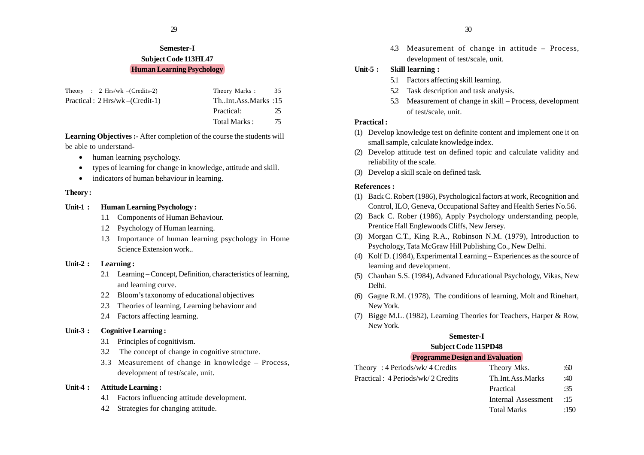# **Semester-I Subject Code 113HL47 Human Learning Psychology**

| Theory : $2 \text{ Hrs/wk }$ –(Credits-2) | Theory Marks: 35    |  |
|-------------------------------------------|---------------------|--|
| $Practical: 2 Hrs/wk - (Credit-1)$        | ThInt.Ass.Marks:15  |  |
|                                           | 25<br>Practical:    |  |
|                                           | 75<br>Total Marks : |  |

**Learning Objectives :-** After completion of the course the students will be able to understand-

- human learning psychology.
- •types of learning for change in knowledge, attitude and skill.
- indicators of human behaviour in learning.

# **Theory :**

# **Unit-1 : Human Learning Psychology :**

- 1.1 Components of Human Behaviour.
- 1.2 Psychology of Human learning.
- 1.3 Importance of human learning psychology in Home Science Extension work..

# **Unit-2 : Learning :**

- 2.1 Learning Concept, Definition, characteristics of learning, and learning curve.
- 2.2 Bloom's taxonomy of educational objectives
- 2.3 Theories of learning, Learning behaviour and
- 2.4 Factors affecting learning.

# **Unit-3 : Cognitive Learning :**

- 3.1 Principles of cognitivism.
- 3.2 The concept of change in cognitive structure.
- 3.3 Measurement of change in knowledge Process, development of test/scale, unit.

# **Unit-4 : Attitude Learning :**

- 4.1 Factors influencing attitude development.
- 4.2 Strategies for changing attitude.

4.3 Measurement of change in attitude – Process, development of test/scale, unit.

# **Unit-5 : Skill learning :**

- 5.1 Factors affecting skill learning.
- 5.2 Task description and task analysis.
- 5.3 Measurement of change in skill Process, development of test/scale, unit.

# **Practical :**

- (1) Develop knowledge test on definite content and implement one it on small sample, calculate knowledge index.
- (2) Develop attitude test on defined topic and calculate validity and reliability of the scale.
- (3) Develop a skill scale on defined task.

# **References :**

- (1) Back C. Robert (1986), Psychological factors at work, Recognition and Control, ILO, Geneva, Occupational Saftey and Health Series No.56.
- (2) Back C. Rober (1986), Apply Psychology understanding people, Prentice Hall Englewoods Cliffs, New Jersey.
- (3) Morgan C.T., King R.A., Robinson N.M. (1979), Introduction to Psychology, Tata McGraw Hill Publishing Co., New Delhi.
- (4) Kolf D. (1984), Experimental Learning Experiences as the source of learning and development.
- (5) Chauhan S.S. (1984), Advaned Educational Psychology, Vikas, New Delhi.
- (6) Gagne R.M. (1978), The conditions of learning, Molt and Rinehart, New York.
- (7) Bigge M.L. (1982), Learning Theories for Teachers, Harper & Row, New York.

# **Semester-I**

# **Subject Code 115PD48**

# **Programme Design and Evaluation**

| Th.Int.Ass.Marks<br>:40 |                    |
|-------------------------|--------------------|
| :35<br>Practical        |                    |
|                         | Theory Mks.<br>:60 |

- Internal Assessment :15
- Total Marks :150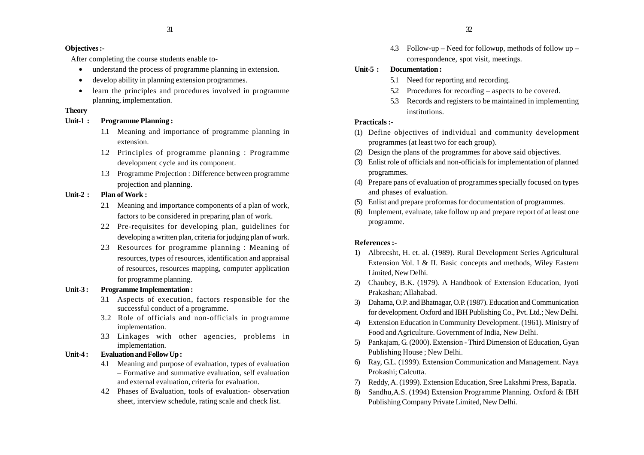#### **Objectives :-**

After completing the course students enable to-

- •understand the process of programme planning in extension.
- •develop ability in planning extension programmes.
- $\bullet$  learn the principles and procedures involved in programme planning, implementation.

# **Theory**

# **Unit-1 : Programme Planning :**

- 1.1 Meaning and importance of programme planning in extension.
- 1.2 Principles of programme planning : Programme development cycle and its component.
- 1.3 Programme Projection : Difference between programme projection and planning.

# **Unit-2 : Plan of Work :**

- 2.1 Meaning and importance components of a plan of work, factors to be considered in preparing plan of work.
- 2.2 Pre-requisites for developing plan, guidelines for developing a written plan, criteria for judging plan of work.
- 2.3 Resources for programme planning : Meaning of resources, types of resources, identification and appraisal of resources, resources mapping, computer application for programme planning.

# **Unit-3 : Programme Implementation :**

- 3.1 Aspects of execution, factors responsible for the successful conduct of a programme.
- 3.2 Role of officials and non-officials in programme implementation.
- 3.3 Linkages with other agencies, problems in implementation.

# **Unit-4 : Evaluation and Follow Up :**

- 4.1 Meaning and purpose of evaluation, types of evaluation – Formative and summative evaluation, self evaluation and external evaluation, criteria for evaluation.
- 4.2 Phases of Evaluation, tools of evaluation- observation sheet, interview schedule, rating scale and check list.

4.3 Follow-up – Need for followup, methods of follow up – correspondence, spot visit, meetings.

# **Unit-5 : Documentation :**

- 5.1 Need for reporting and recording.
- 5.2 Procedures for recording aspects to be covered.
- 5.3 Records and registers to be maintained in implementing institutions.

# **Practicals :-**

- (1) Define objectives of individual and community development programmes (at least two for each group).
- (2) Design the plans of the programmes for above said objectives.
- (3) Enlist role of officials and non-officials for implementation of planned programmes.
- (4) Prepare pans of evaluation of programmes specially focused on types and phases of evaluation.
- (5) Enlist and prepare proformas for documentation of programmes.
- (6) Implement, evaluate, take follow up and prepare report of at least one programme.

- 1) Albrecsht, H. et. al. (1989). Rural Development Series Agricultural Extension Vol. I & II. Basic concepts and methods, Wiley Eastern Limited, New Delhi.
- 2) Chaubey, B.K. (1979). A Handbook of Extension Education, Jyoti Prakashan; Allahabad.
- 3) Dahama, O.P. and Bhatnagar, O.P. (1987). Education and Communication for development. Oxford and IBH Publishing Co., Pvt. Ltd.; New Delhi.
- 4) Extension Education in Community Development. (1961). Ministry of Food and Agriculture. Government of India, New Delhi.
- 5) Pankajam, G. (2000). Extension Third Dimension of Education, Gyan Publishing House ; New Delhi.
- 6) Ray, G.L. (1999). Extension Communication and Management. Naya Prokashi; Calcutta.
- 7) Reddy, A. (1999). Extension Education, Sree Lakshmi Press, Bapatla.
- 8) Sandhu,A.S. (1994) Extension Programme Planning. Oxford & IBH Publishing Company Private Limited, New Delhi.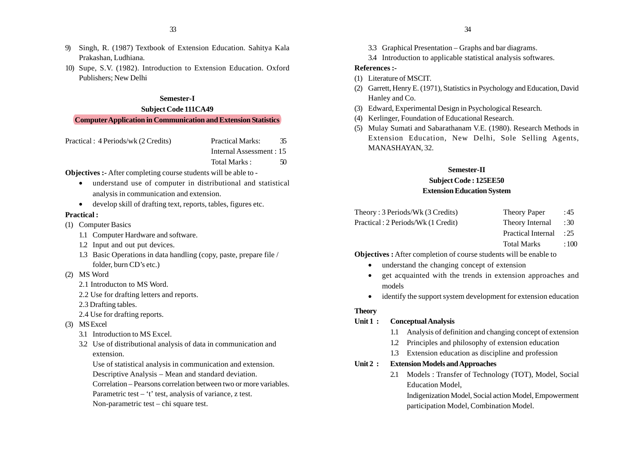- 9) Singh, R. (1987) Textbook of Extension Education. Sahitya Kala Prakashan, Ludhiana.
- 10) Supe, S.V. (1982). Introduction to Extension Education. Oxford Publishers; New Delhi

# **Semester-I**

#### **Subject Code 111CA49**

#### **Computer Application in Communication and Extension Statistics**

| Practical: 4 Periods/wk (2 Credits) | 35<br><b>Practical Marks:</b> |
|-------------------------------------|-------------------------------|
|                                     | Internal Assessment : 15      |

Total Marks : 50

**Objectives :-** After completing course students will be able to -

- understand use of computer in distributional and statistical analysis in communication and extension.
- develop skill of drafting text, reports, tables, figures etc.

#### **Practical :**

- (1) Computer Basics
	- 1.1 Computer Hardware and software.
	- 1.2 Input and out put devices.
	- 1.3 Basic Operations in data handling (copy, paste, prepare file / folder, burn CD's etc.)
- (2) MS Word
	- 2.1 Introducton to MS Word.
	- 2.2 Use for drafting letters and reports.
	- 2.3 Drafting tables.
	- 2.4 Use for drafting reports.
- (3) MS Excel
	- 3.1 Introduction to MS Excel.
	- 3.2 Use of distributional analysis of data in communication and extension.

Use of statistical analysis in communication and extension.

Descriptive Analysis – Mean and standard deviation.

Correlation – Pearsons correlation between two or more variables.

- Parametric test 't' test, analysis of variance, z test.
- Non-parametric test chi square test.
- 3.3 Graphical Presentation Graphs and bar diagrams.
- 3.4 Introduction to applicable statistical analysis softwares.

#### **References :-**

- (1) Literature of MSCIT.
- (2) Garrett, Henry E. (1971), Statistics in Psychology and Education, David Hanley and Co.
- (3) Edward, Experimental Design in Psychological Research.
- (4) Kerlinger, Foundation of Educational Research.
- (5) Mulay Sumati and Sabarathanam V.E. (1980). Research Methods in Extension Education, New Delhi, Sole Selling Agents, MANASHAYAN, 32.

#### **Semester-II**

#### **Subject Code : 125EE50**

#### **Extension Education System**

| Theory: 3 Periods/Wk (3 Credits)    | Theory Paper    | : 45 |
|-------------------------------------|-----------------|------|
| Practical : 2 Periods/Wk (1 Credit) | Theory Internal | : 30 |

- Practical Internal : 25
- Total Marks : 100

**Objectives :** After completion of course students will be enable to

- understand the changing concept of extension
- • get acquainted with the trends in extension approaches and models
- identify the support system development for extension education

#### **Theory**

#### **Unit 1 : Conceptual Analysis**

- 1.1 Analysis of definition and changing concept of extension
- 1.2 Principles and philosophy of extension education
- 1.3 Extension education as discipline and profession

#### **Unit 2 : Extension Models and Approaches**

2.1 Models : Transfer of Technology (TOT), Model, Social Education Model,

Indigenization Model, Social action Model, Empowerment participation Model, Combination Model.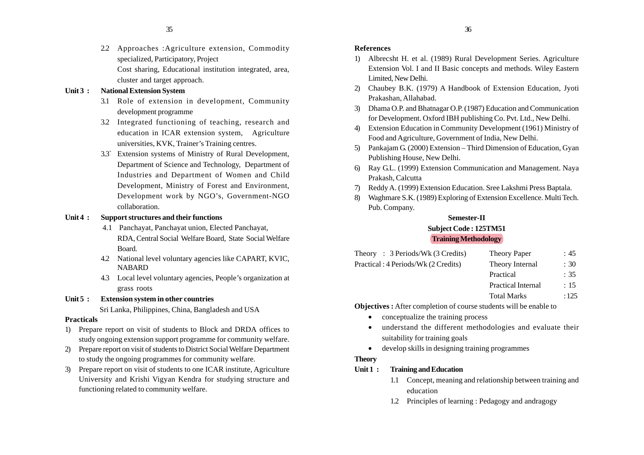2.2 Approaches :Agriculture extension, Commodity specialized, Participatory, Project

Cost sharing, Educational institution integrated, area, cluster and target approach.

#### **Unit 3 : National Extension System**

- 3.1 Role of extension in development, Community development programme
- 3.2 Integrated functioning of teaching, research and education in ICAR extension system, Agriculture universities, KVK, Trainer's Training centres.
- 3.3` Extension systems of Ministry of Rural Development, Department of Science and Technology, Department of Industries and Department of Women and Child Development, Ministry of Forest and Environment, Development work by NGO's, Government-NGO collaboration.

#### **Unit 4 : Support structures and their functions**

- 4.1 Panchayat, Panchayat union, Elected Panchayat, RDA, Central Social Welfare Board, State Social Welfare Board.
- 4.2 National level voluntary agencies like CAPART, KVIC, NABARD
- 4.3 Local level voluntary agencies, People's organization at grass roots

# **Unit 5 : Extension system in other countries**

Sri Lanka, Philippines, China, Bangladesh and USA

#### **Practicals**

- 1) Prepare report on visit of students to Block and DRDA offices to study ongoing extension support programme for community welfare.
- 2) Prepare report on visit of students to District Social Welfare Department to study the ongoing programmes for community welfare.
- 3) Prepare report on visit of students to one ICAR institute, Agriculture University and Krishi Vigyan Kendra for studying structure and functioning related to community welfare.

#### **References**

- 1) Albrecsht H. et al. (1989) Rural Development Series. Agriculture Extension Vol. I and II Basic concepts and methods. Wiley Eastern Limited, New Delhi.
- 2) Chaubey B.K. (1979) A Handbook of Extension Education, Jyoti Prakashan, Allahabad.
- 3) Dhama O.P. and Bhatnagar O.P. (1987) Education and Communication for Development. Oxford IBH publishing Co. Pvt. Ltd., New Delhi.
- 4) Extension Education in Community Development (1961) Ministry of Food and Agriculture, Government of India, New Delhi.
- 5) Pankajam G. (2000) Extension Third Dimension of Education, Gyan Publishing House, New Delhi.
- 6) Ray G.L. (1999) Extension Communication and Management. Naya Prakash, Calcutta
- 7) Reddy A. (1999) Extension Education. Sree Lakshmi Press Baptala.
- 8) Waghmare S.K. (1989) Exploring of Extension Excellence. Multi Tech. Pub. Company.

# **Semester-II**

# **Subject Code : 125TM51**

#### **Training Methodology**

| Theory: $3$ Periods/Wk (3 Credits)  | Theory Paper    | :45             |
|-------------------------------------|-----------------|-----------------|
| Practical: 4 Periods/Wk (2 Credits) | Theory Internal | $\therefore$ 30 |
|                                     | Practical       | : 35            |

- Practical Internal : 15
- Total Marks : 125

**Objectives :** After completion of course students will be enable to

- conceptualize the training process
- understand the different methodologies and evaluate their suitability for training goals
- develop skills in designing training programmes

# **Theory**

- **Unit 1 : Training and Education**
	- 1.1 Concept, meaning and relationship between training and education
	- 1.2 Principles of learning : Pedagogy and andragogy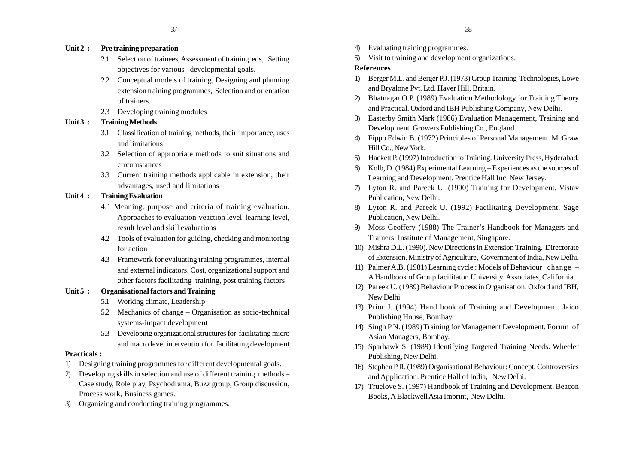#### **Unit 2 : Pre training preparation**

- 2.1 Selection of trainees, Assessment of training eds, Setting objectives for various developmental goals.
- 2.2 Conceptual models of training, Designing and planning extension training programmes, Selection and orientation of trainers.
- 2.3 Developing training modules

#### **Unit 3 : Training Methods**

- 3.1 Classification of training methods, their importance, uses and limitations
- 3.2 Selection of appropriate methods to suit situations and circumstances
- 3.3 Current training methods applicable in extension, their advantages, used and limitations

#### **Unit 4 : Training Evaluation**

- 4.1 Meaning, purpose and criteria of training evaluation. Approaches to evaluation-veaction level learning level, result level and skill evaluations
- 4.2 Tools of evaluation for guiding, checking and monitoring for action
- 4.3 Framework for evaluating training programmes, internal and external indicators. Cost, organizational support and other factors facilitating training, post training factors

#### **Unit 5 : Organisational factors and Training**

- 5.1 Working climate, Leadership
- 5.2 Mechanics of change Organisation as socio-technical systems-impact development
- 5.3 Developing organizational structures for facilitating micro and macro level intervention for facilitating development

#### **Practicals :**

- 1) Designing training programmes for different developmental goals.
- 2) Developing skills in selection and use of different training methods Case study, Role play, Psychodrama, Buzz group, Group discussion, Process work, Business games.
- 3) Organizing and conducting training programmes.
- 4) Evaluating training programmes.
- 5) Visit to training and development organizations.

#### **References**

- 1) Berger M.L. and Berger P.J. (1973) Group Training Technologies, Lowe and Bryalone Pvt. Ltd. Haver Hill, Britain.
- 2) Bhatnagar O.P. (1989) Evaluation Methodology for Training Theory and Practical. Oxford and IBH Publishing Company, New Delhi.
- 3) Easterby Smith Mark (1986) Evaluation Management, Training and Development. Growers Publishing Co., England.
- 4) Fippo Edwin B. (1972) Principles of Personal Management. McGraw Hill Co., New York.
- 5) Hackett P. (1997) Introduction to Training. University Press, Hyderabad.
- 6) Kolb, D. (1984) Experimental Learning Experiences as the sources of Learning and Development. Prentice Hall Inc. New Jersey.
- 7) Lyton R. and Pareek U. (1990) Training for Development. Vistav Publication, New Delhi.
- 8) Lyton R. and Pareek U. (1992) Facilitating Development. Sage Publication, New Delhi.
- 9) Moss Geoffery (1988) The Trainer's Handbook for Managers and Trainers. Institute of Management, Singapore.
- 10) Mishra D.L. (1990). New Directions in Extension Training. Directorate of Extension. Ministry of Agriculture, Government of India, New Delhi.
- 11) Palmer A.B. (1981) Learning cycle : Models of Behaviour change A Handbook of Group facilitator. University Associates, California.
- 12) Pareek U. (1989) Behaviour Process in Organisation. Oxford and IBH, New Delhi.
- 13) Prior J. (1994) Hand book of Training and Development. Jaico Publishing House, Bombay.
- 14) Singh P.N. (1989) Training for Management Development. Forum of Asian Managers, Bombay.
- 15) Sparhawk S. (1989) Identifying Targeted Training Needs. Wheeler Publishing, New Delhi.
- 16) Stephen P.R. (1989) Organisational Behaviour: Concept, Controversies and Application. Prentice Hall of India, New Delhi.
- 17) Truelove S. (1997) Handbook of Training and Development. Beacon Books, A Blackwell Asia Imprint, New Delhi.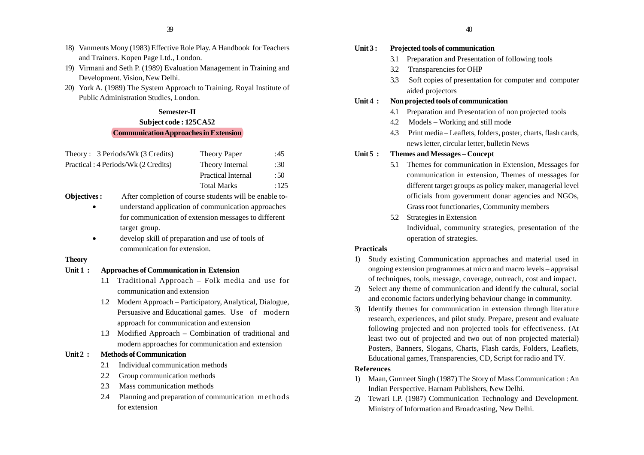- 18) Vanments Mony (1983) Effective Role Play. A Handbook for Teachers and Trainers. Kopen Page Ltd., London.
- 19) Virmani and Seth P. (1989) Evaluation Management in Training and Development. Vision, New Delhi.
- 20) York A. (1989) The System Approach to Training. Royal Institute of Public Administration Studies, London.

#### **Semester-II**

# **Subject code : 125CA52 Communication Approaches in Extension**

| Theory: 3 Periods/Wk (3 Credits)    | Theory Paper       | :45  |
|-------------------------------------|--------------------|------|
| Practical: 4 Periods/Wk (2 Credits) | Theory Internal    | :30  |
|                                     | Practical Internal | :50  |
|                                     | <b>Total Marks</b> | :125 |
|                                     |                    |      |

- **Objectives :** After completion of course students will be enable to-
	- • understand application of communication approaches for communication of extension messages to different target group.
	- • develop skill of preparation and use of tools of communication for extension.

#### **Theory**

#### **Unit 1 : Approaches of Communication in Extension**

- 1.1 Traditional Approach Folk media and use for communication and extension
- 1.2 Modern Approach Participatory, Analytical, Dialogue, Persuasive and Educational games. Use of modern approach for communication and extension
- 1.3 Modified Approach Combination of traditional and modern approaches for communication and extension

# **Unit 2 : Methods of Communication**

- 2.1 Individual communication methods
- 2.2 Group communication methods
- 2.3 Mass communication methods
- 2.4 Planning and preparation of communication methods for extension

#### **Unit 3 : Projected tools of communication**

- 3.1 Preparation and Presentation of following tools
- 3.2 Transparencies for OHP
- 3.3 Soft copies of presentation for computer and computer aided projectors

#### **Unit 4 : Non projected tools of communication**

- 4.1 Preparation and Presentation of non projected tools
- 4.2 Models Working and still mode
- 4.3 Print media Leaflets, folders, poster, charts, flash cards, news letter, circular letter, bulletin News

#### **Unit 5 : Themes and Messages – Concept**

- 5.1 Themes for communication in Extension, Messages for communication in extension, Themes of messages for different target groups as policy maker, managerial level officials from government donar agencies and NGOs, Grass root functionaries, Community members
- 5.2 Strategies in Extension Individual, community strategies, presentation of the operation of strategies.

#### **Practicals**

- 1) Study existing Communication approaches and material used in ongoing extension programmes at micro and macro levels – appraisal of techniques, tools, message, coverage, outreach, cost and impact.
- 2) Select any theme of communication and identify the cultural, social and economic factors underlying behaviour change in community.
- 3) Identify themes for communication in extension through literature research, experiences, and pilot study. Prepare, present and evaluate following projected and non projected tools for effectiveness. (At least two out of projected and two out of non projected material) Posters, Banners, Slogans, Charts, Flash cards, Folders, Leaflets, Educational games, Transparencies, CD, Script for radio and TV.

#### **References**

- 1) Maan, Gurmeet Singh (1987) The Story of Mass Communication : An Indian Perspective. Harnam Publishers, New Delhi.
- 2) Tewari I.P. (1987) Communication Technology and Development. Ministry of Information and Broadcasting, New Delhi.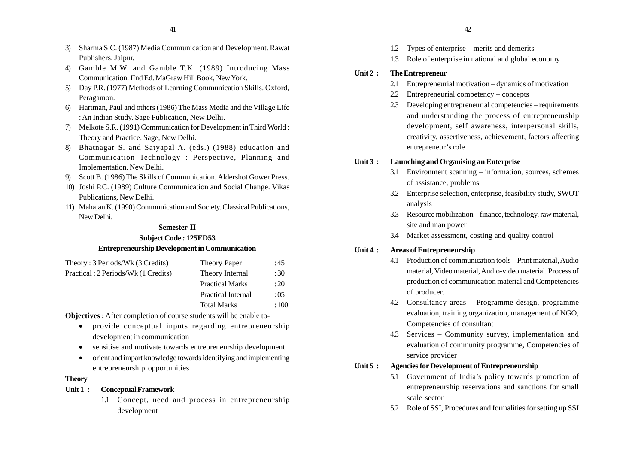- 3) Sharma S.C. (1987) Media Communication and Development. Rawat Publishers, Jaipur.
- 4) Gamble M.W. and Gamble T.K. (1989) Introducing Mass Communication. IInd Ed. MaGraw Hill Book, New York.
- 5) Day P.R. (1977) Methods of Learning Communication Skills. Oxford, Peragamon.
- 6) Hartman, Paul and others (1986) The Mass Media and the Village Life : An Indian Study. Sage Publication, New Delhi.
- 7) Melkote S.R. (1991) Communication for Development in Third World : Theory and Practice. Sage, New Delhi.
- 8) Bhatnagar S. and Satyapal A. (eds.) (1988) education and Communication Technology : Perspective, Planning and Implementation. New Delhi.
- 9) Scott B. (1986) The Skills of Communication. Aldershot Gower Press.
- 10) Joshi P.C. (1989) Culture Communication and Social Change. Vikas Publications, New Delhi.
- 11) Mahajan K. (1990) Communication and Society. Classical Publications, New Delhi.

# **Semester-II**

# **Subject Code : 125ED53 Entrepreneurship Development in Communication**

| Theory: 3 Periods/Wk (3 Credits)    | <b>Theory Paper</b>    | :45   |
|-------------------------------------|------------------------|-------|
| Practical: 2 Periods/Wk (1 Credits) | Theory Internal        | :30   |
|                                     | <b>Practical Marks</b> | :20   |
|                                     | Practical Internal     | : 0.5 |
|                                     | <b>Total Marks</b>     | :100  |
|                                     |                        |       |

**Objectives :** After completion of course students will be enable to-

- provide conceptual inputs regarding entrepreneurship development in communication
- •sensitise and motivate towards entrepreneurship development
- • orient and impart knowledge towards identifying and implementing entrepreneurship opportunities

# **Theory**

#### **Unit 1 : Conceptual Framework**

1.1 Concept, need and process in entrepreneurship development

- 1.2 Types of enterprise merits and demerits
- 1.3 Role of enterprise in national and global economy

#### **Unit 2 : The Entrepreneur**

- 2.1 Entrepreneurial motivation dynamics of motivation
- 2.2 Entrepreneurial competency concepts
- 2.3 Developing entrepreneurial competencies requirements and understanding the process of entrepreneurship development, self awareness, interpersonal skills, creativity, assertiveness, achievement, factors affecting entrepreneur's role

#### **Unit 3 : Launching and Organising an Enterprise**

- 3.1 Environment scanning information, sources, schemes of assistance, problems
- 3.2 Enterprise selection, enterprise, feasibility study, SWOT analysis
- 3.3 Resource mobilization finance, technology, raw material, site and man power
- 3.4 Market assessment, costing and quality control

# **Unit 4 : Areas of Entrepreneurship**

- 4.1 Production of communication tools Print material, Audio material, Video material, Audio-video material. Process of production of communication material and Competencies of producer.
- 4.2 Consultancy areas Programme design, programme evaluation, training organization, management of NGO, Competencies of consultant
- 4.3 Services Community survey, implementation and evaluation of community programme, Competencies of service provider

# **Unit 5 : Agencies for Development of Entrepreneurship**

- 5.1 Government of India's policy towards promotion of entrepreneurship reservations and sanctions for small scale sector
- 5.2 Role of SSI, Procedures and formalities for setting up SSI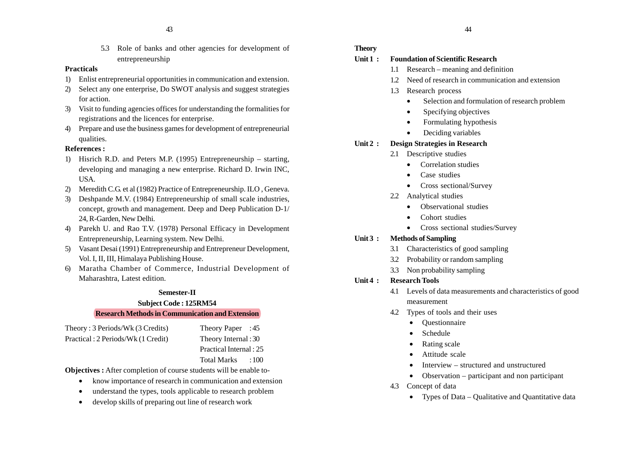5.3 Role of banks and other agencies for development of entrepreneurship

#### **Practicals**

- 1) Enlist entrepreneurial opportunities in communication and extension.
- 2) Select any one enterprise, Do SWOT analysis and suggest strategies for action.
- 3) Visit to funding agencies offices for understanding the formalities for registrations and the licences for enterprise.
- 4) Prepare and use the business games for development of entrepreneurial qualities.

# **References :**

- 1) Hisrich R.D. and Peters M.P. (1995) Entrepreneurship starting, developing and managing a new enterprise. Richard D. Irwin INC, USA.
- 2) Meredith C.G. et al (1982) Practice of Entrepreneurship. ILO , Geneva.
- 3) Deshpande M.V. (1984) Entrepreneurship of small scale industries, concept, growth and management. Deep and Deep Publication D-1/ 24, R-Garden, New Delhi.
- 4) Parekh U. and Rao T.V. (1978) Personal Efficacy in Development Entrepreneurship, Learning system. New Delhi.
- 5) Vasant Desai (1991) Entrepreneurship and Entrepreneur Development, Vol. I, II, III, Himalaya Publishing House.
- 6) Maratha Chamber of Commerce, Industrial Development of Maharashtra, Latest edition.

#### **Semester-II**

#### **Subject Code : 125RM54**

#### **Research Methods in Communication and Extension**

| Theory: 3 Periods/Wk (3 Credits)    | Theory Paper : 45       |
|-------------------------------------|-------------------------|
| Practical : 2 Periods/Wk (1 Credit) | Theory Internal: 30     |
|                                     | Practical Internal : 25 |
|                                     | Total Marks<br>:100     |

**Objectives :** After completion of course students will be enable to-

- •know importance of research in communication and extension
- •understand the types, tools applicable to research problem
- •develop skills of preparing out line of research work

# **Theory**

# **Unit 1 : Foundation of Scientific Research**

- 1.1 Research meaning and definition
- 1.2 Need of research in communication and extension
- 1.3 Research process
	- •Selection and formulation of research problem
	- •Specifying objectives
	- •Formulating hypothesis
	- •Deciding variables

# **Unit 2 : Design Strategies in Research**

- 2.1 Descriptive studies
	- •Correlation studies
	- •Case studies
	- Cross sectional/Survey
- 2.2 Analytical studies
	- Observational studies
	- •Cohort studies
	- Cross sectional studies/Survey

# **Unit 3 : Methods of Sampling**

- 3.1 Characteristics of good sampling
- 3.2 Probability or random sampling
- 3.3 Non probability sampling

# **Unit 4 : Research Tools**

- 4.1 Levels of data measurements and characteristics of good measurement
- 4.2 Types of tools and their uses
	- Questionnaire
	- •Schedule
	- •Rating scale
	- •Attitude scale
	- •Interview – structured and unstructured
	- •Observation – participant and non participant

# 4.3 Concept of data

• Types of Data – Qualitative and Quantitative data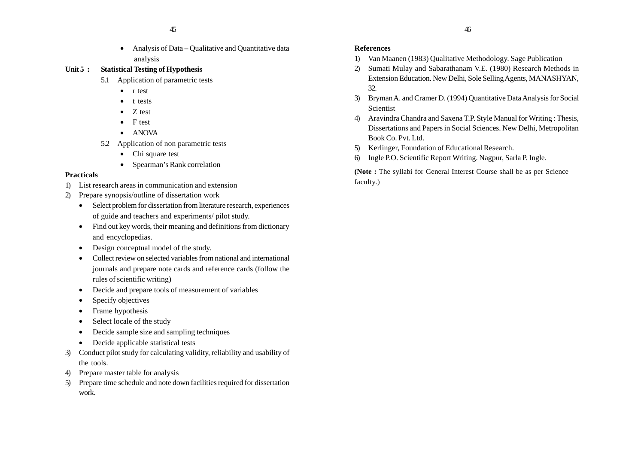• Analysis of Data – Qualitative and Quantitative data analysis

# **Unit 5 : Statistical Testing of Hypothesis**

- 5.1 Application of parametric tests
	- r test
	- t tests
	- •Z test
	- F test
	- ANOVA
- 5.2 Application of non parametric tests
	- Chi square test
	- Spearman's Rank correlation

# **Practicals**

- 1) List research areas in communication and extension
- 2) Prepare synopsis/outline of dissertation work
	- Select problem for dissertation from literature research, experiences of guide and teachers and experiments/ pilot study.
	- Find out key words, their meaning and definitions from dictionary and encyclopedias.
	- Design conceptual model of the study.
	- • Collect review on selected variables from national and international journals and prepare note cards and reference cards (follow the rules of scientific writing)
	- •Decide and prepare tools of measurement of variables
	- •Specify objectives
	- •Frame hypothesis
	- •Select locale of the study
	- •Decide sample size and sampling techniques
	- Decide applicable statistical tests
- 3) Conduct pilot study for calculating validity, reliability and usability of the tools.
- 4) Prepare master table for analysis
- 5) Prepare time schedule and note down facilities required for dissertation work.

# **References**

- 1) Van Maanen (1983) Qualitative Methodology. Sage Publication
- 2) Sumati Mulay and Sabarathanam V.E. (1980) Research Methods in Extension Education. New Delhi, Sole Selling Agents, MANASHYAN, 32.
- 3) Bryman A. and Cramer D. (1994) Quantitative Data Analysis for Social Scientist
- 4) Aravindra Chandra and Saxena T.P. Style Manual for Writing : Thesis, Dissertations and Papers in Social Sciences. New Delhi, Metropolitan Book Co. Pvt. Ltd.
- 5) Kerlinger, Foundation of Educational Research.
- 6) Ingle P.O. Scientific Report Writing. Nagpur, Sarla P. Ingle.

**(Note :** The syllabi for General Interest Course shall be as per Science faculty.)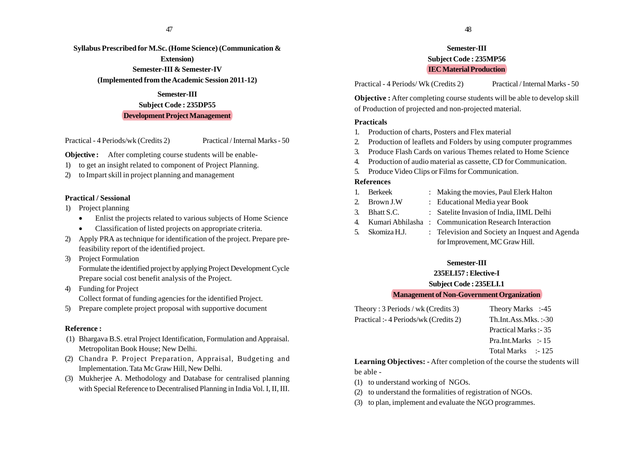**Syllabus Prescribed for M.Sc. (Home Science) (Communication & Extension) Semester-III & Semester-IV (Implemented from the Academic Session 2011-12)**

# **Semester-III Subject Code : 235DP55 Development Project Management**

Practical - 4 Periods/wk (Credits 2) Practical / Internal Marks - 50

**Objective :** After completing course students will be enable-

- 1) to get an insight related to component of Project Planning.
- 2) to Impart skill in project planning and management

# **Practical / Sessional**

- 1) Project planning
	- •Enlist the projects related to various subjects of Home Science
	- •Classification of listed projects on appropriate criteria.
- 2) Apply PRA as technique for identification of the project. Prepare prefeasibility report of the identified project.
- 3) Project Formulation Formulate the identified project by applying Project Development Cycle Prepare social cost benefit analysis of the Project.
- 4) Funding for Project Collect format of funding agencies for the identified Project.
- 5) Prepare complete project proposal with supportive document

# **Reference :**

- (1) Bhargava B.S. etral Project Identification, Formulation and Appraisal. Metropolitan Book House; New Delhi.
- (2) Chandra P. Project Preparation, Appraisal, Budgeting and Implementation. Tata Mc Graw Hill, New Delhi.
- (3) Mukherjee A. Methodology and Database for centralised planning with Special Reference to Decentralised Planning in India Vol. I, II, III.

# **Semester-III Subject Code : 235MP56 IEC Material Production**

Practical - 4 Periods/ Wk (Credits 2) Practical / Internal Marks - 50

**Objective :** After completing course students will be able to develop skill of Production of projected and non-projected material.

# **Practicals**

- 1. Production of charts, Posters and Flex material
- 2. Production of leaflets and Folders by using computer programmes
- 3. Produce Flash Cards on various Themes related to Home Science
- 4. Production of audio material as cassette, CD for Communication.
- 5. Produce Video Clips or Films for Communication.

# **References**

- 1. Berkeek : Making the movies, Paul Elerk Halton
- 2. Brown J.W : Educational Media year Book
- 
- 3. Bhatt S.C. : Satelite Invasion of India, IIML Delhi
- 4. Kumari Abhilasha : Communication Research Interaction
- 5. Skomiza H.J. : Television and Society an Inquest and Agenda for Improvement, MC Graw Hill.

# **Semester-III**

**235ELI57 : Elective-I**

**Subject Code : 235ELI.1**

# **Management of Non-Government Organization**

Theory : 3 Periods / wk (Credits 3) Theory Marks :-45 Practical :- 4 Periods/wk (Credits 2) Th.Int.Ass.Mks. :-30 Practical Marks :- 35 Pra.Int.Marks :- 15 Total Marks :- 125

**Learning Objectives: -** After completion of the course the students will be able -

- (1) to understand working of NGOs.
- (2) to understand the formalities of registration of NGOs.
- (3) to plan, implement and evaluate the NGO programmes.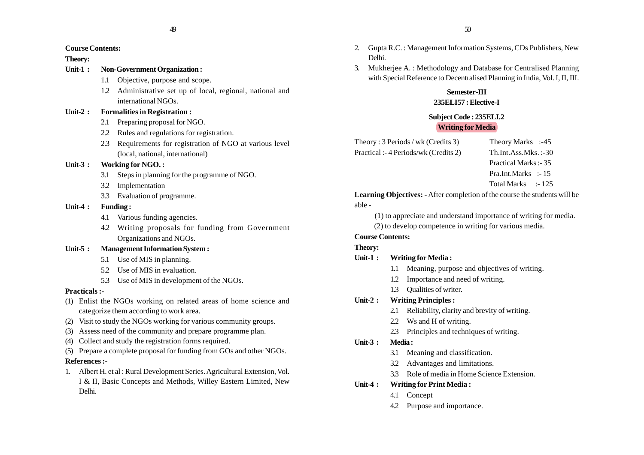# **Course Contents:**

# **Theory:**

- **Unit-1 : Non-Government Organization :**
	- 1.1 Objective, purpose and scope.
	- 1.2 Administrative set up of local, regional, national and international NGOs.

# **Unit-2 : Formalities in Registration :**

- 2.1 Preparing proposal for NGO.
- 2.2 Rules and regulations for registration.
- 2.3 Requirements for registration of NGO at various level (local, national, international)

# **Unit-3 : Working for NGO. :**

- 3.1 Steps in planning for the programme of NGO.
- 3.2 Implementation
- 3.3 Evaluation of programme.

# **Unit-4 : Funding :**

- 4.1 Various funding agencies.
- 4.2 Writing proposals for funding from Government Organizations and NGOs.

# **Unit-5 : Management Information System :**

- 5.1 Use of MIS in planning.
- 5.2 Use of MIS in evaluation.
- 5.3 Use of MIS in development of the NGOs.

# **Practicals :-**

- (1) Enlist the NGOs working on related areas of home science and categorize them according to work area.
- (2) Visit to study the NGOs working for various community groups.
- (3) Assess need of the community and prepare programme plan.
- (4) Collect and study the registration forms required.
- (5) Prepare a complete proposal for funding from GOs and other NGOs.

# **References :-**

1. Albert H. et al : Rural Development Series. Agricultural Extension, Vol. I & II, Basic Concepts and Methods, Willey Eastern Limited, New Delhi.

- 2. Gupta R.C. : Management Information Systems, CDs Publishers, New Delhi.
- 3. Mukherjee A. : Methodology and Database for Centralised Planning with Special Reference to Decentralised Planning in India, Vol. I, II, III.

# **Semester-III**

# **235ELI57 : Elective-I**

# **Subject Code : 235ELI.2 Writing for Media**

Theory : 3 Periods / wk (Credits 3) Theory Marks :-45 Practical :- 4 Periods/wk (Credits 2) Th.Int.Ass.Mks. :-30

- 
- Practical Marks :- 35
- Pra.Int.Marks :- 15
- Total Marks :- 125

**Learning Objectives: -** After completion of the course the students will be able -

(1) to appreciate and understand importance of writing for media.

(2) to develop competence in writing for various media.

# **Course Contents:**

# **Theory:**

- **Unit-1 : Writing for Media :**
	- 1.1 Meaning, purpose and objectives of writing.
	- 1.2 Importance and need of writing.
	- 1.3 Qualities of writer.

# **Unit-2 : Writing Principles :**

- 2.1 Reliability, clarity and brevity of writing.
- 2.2 Ws and H of writing.
- 2.3 Principles and techniques of writing.

# **Unit-3 : Media :**

- 3.1 Meaning and classification.
- 3.2 Advantages and limitations.
- 3.3 Role of media in Home Science Extension.

# **Unit-4 : Writing for Print Media :**

- 4.1 Concept
- 4.2 Purpose and importance.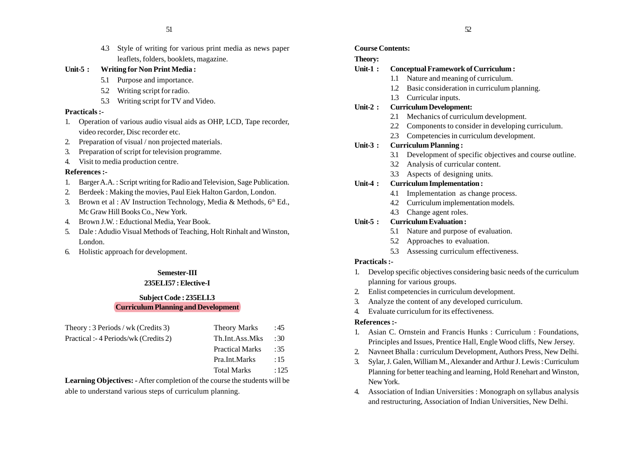4.3 Style of writing for various print media as news paper leaflets, folders, booklets, magazine.

# **Unit-5 : Writing for Non Print Media :**

- 5.1 Purpose and importance.
- 5.2 Writing script for radio.
- 5.3 Writing script for TV and Video.

#### **Practicals :-**

- 1. Operation of various audio visual aids as OHP, LCD, Tape recorder, video recorder, Disc recorder etc.
- 2. Preparation of visual / non projected materials.
- 3. Preparation of script for television programme.
- 4. Visit to media production centre.

#### **References :-**

- 1. Barger A.A. : Script writing for Radio and Television, Sage Publication.
- 2. Berdeek : Making the movies, Paul Eiek Halton Gardon, London.
- 3. Brown et al : AV Instruction Technology, Media & Methods,  $6<sup>th</sup>$  Ed., Mc Graw Hill Books Co., New York.
- 4. Brown J.W. : Eductional Media, Year Book.
- 5. Dale : Adudio Visual Methods of Teaching, Holt Rinhalt and Winston, London.
- 6. Holistic approach for development.

# **Semester-III**

# **235ELI57 : Elective-I**

# **Subject Code : 235ELI.3 Curriculum Planning and Development**

| Theory: $3$ Periods / wk (Credits 3) | <b>Theory Marks</b>    | :45  |
|--------------------------------------|------------------------|------|
| Practical :-4 Periods/wk (Credits 2) | Th.Int.Ass.Mks         | :30  |
|                                      | <b>Practical Marks</b> | :35  |
|                                      | Pra.Int.Marks          | :15  |
|                                      | <b>Total Marks</b>     | :125 |

**Learning Objectives: -** After completion of the course the students will be able to understand various steps of curriculum planning.

# **Course Contents:**

# **Theory:**

# **Unit-1 : Conceptual Framework of Curriculum :**

- 1.1 Nature and meaning of curriculum.
- 1.2 Basic consideration in curriculum planning.
- 1.3 Curricular inputs.

#### **Unit-2 : Curriculum Development:**

- 2.1 Mechanics of curriculum development.
- 2.2 Components to consider in developing curriculum.
- 2.3 Competencies in curriculum development.

# **Unit-3 : Curriculum Planning :**

- 3.1 Development of specific objectives and course outline.
- 3.2 Analysis of curricular content.
- 3.3 Aspects of designing units.

# **Unit-4 : Curriculum Implementation :**

- 4.1 Implementation as change process.
- 4.2 Curriculum implementation models.
- 4.3 Change agent roles.

# **Unit-5 : Curriculum Evaluation :**

- 5.1 Nature and purpose of evaluation.
- 5.2 Approaches to evaluation.
- 5.3 Assessing curriculum effectiveness.

#### **Practicals :-**

- 1. Develop specific objectives considering basic needs of the curriculum planning for various groups.
- 2. Enlist competencies in curriculum development.
- 3. Analyze the content of any developed curriculum.
- 4. Evaluate curriculum for its effectiveness.

- 1. Asian C. Ornstein and Francis Hunks : Curriculum : Foundations, Principles and Issues, Prentice Hall, Engle Wood cliffs, New Jersey.
- 2. Navneet Bhalla : curriculum Development, Authors Press, New Delhi.
- 3. Sylar, J. Galen, William M., Alexander and Arthur J. Lewis : Curriculum Planning for better teaching and learning, Hold Renehart and Winston, New York.
- 4. Association of Indian Universities : Monograph on syllabus analysis and restructuring, Association of Indian Universities, New Delhi.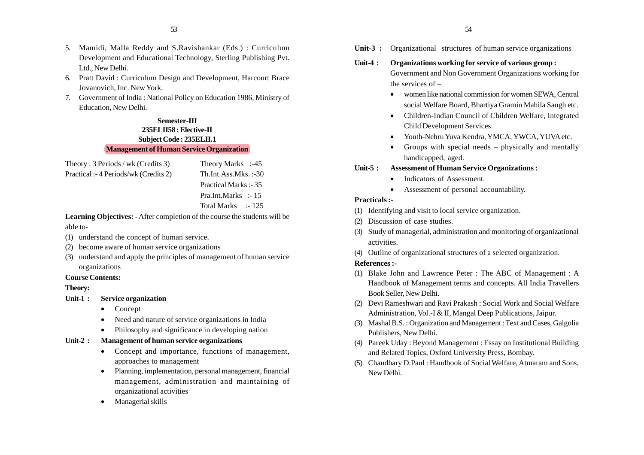- 5. Mamidi, Malla Reddy and S.Ravishankar (Eds.) : Curriculum Development and Educational Technology, Sterling Publishing Pvt. Ltd., New Delhi.
- 6. Pratt David : Curriculum Design and Development, Harcourt Brace Jovanovich, Inc. New York.
- 7. Government of India : National Policy on Education 1986, Ministry of Education, New Delhi.

# **Semester-III 235ELII58 : Elective-II Subject Code : 235ELII.1 Management of Human Service Organization**

| Theory: 3 Periods / wk (Credits 3)    | Theory Marks :-45       |
|---------------------------------------|-------------------------|
| Practical :- 4 Periods/wk (Credits 2) | $Th.Int.Ass.Mks. : -30$ |
|                                       | Practical Marks :- 35   |
|                                       | Pra.Int.Marks :-15      |
|                                       | Total Marks :-125       |

**Learning Objectives: -** After completion of the course the students will be able to-

- (1) understand the concept of human service.
- (2) become aware of human service organizations
- (3) understand and apply the principles of management of human service organizations

#### **Course Contents:**

#### **Theory:**

- **Unit-1 : Service organization**
	- •Concept
	- •Need and nature of service organizations in India
	- •Philosophy and significance in developing nation

# **Unit-2 : Management of human service organizations**

- Concept and importance, functions of management, approaches to management
- • Planning, implementation, personal management, financial management, administration and maintaining of organizational activities
- •Managerial skills

**Unit-3 :** Organizational structures of human service organizations

# **Unit-4 : Organizations working for service of various group :** Government and Non Government Organizations working for the services of –

- women like national commission for women SEWA, Central social Welfare Board, Bhartiya Gramin Mahila Sangh etc.
- • Children-Indian Council of Children Welfare, Integrated Child Development Services.
- Youth-Nehru Yuva Kendra, YMCA, YWCA, YUVA etc.
- • Groups with special needs – physically and mentally handicapped, aged.

# **Unit-5 : Assessment of Human Service Organizations :**

- •Indicators of Assessment.
- •Assessment of personal accountability.

#### **Practicals :-**

- (1) Identifying and visit to local service organization.
- (2) Discussion of case studies.
- (3) Study of managerial, administration and monitoring of organizational activities.
- (4) Outline of organizational structures of a selected organization.

- (1) Blake John and Lawrence Peter : The ABC of Management : A Handbook of Management terms and concepts. All India Travellers Book Seller, New Delhi.
- (2) Devi Rameshwari and Ravi Prakash : Social Work and Social Welfare Administration, Vol.-I & II, Mangal Deep Publications, Jaipur.
- (3) Mashal B.S. : Organization and Management : Text and Cases, Galgolia Publishers, New Delhi.
- (4) Pareek Uday : Beyond Management : Essay on Institutional Building and Related Topics, Oxford University Press, Bombay.
- (5) Chaudhary D.Paul : Handbook of Social Welfare, Atmaram and Sons, New Delhi.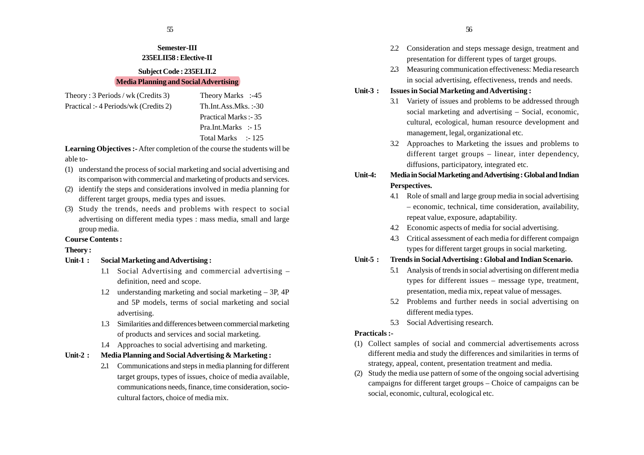# **Semester-III 235ELII58 : Elective-II**

#### **Subject Code : 235ELII.2 Media Planning and Social Advertising**

Theory : 3 Periods / wk (Credits 3) Theory Marks :-45 Practical :- 4 Periods/wk (Credits 2) Th.Int.Ass.Mks. :-30

Practical Marks :- 35 Pra.Int.Marks :-15 Total Marks :-125

**Learning Objectives :-** After completion of the course the students will be able to-

- (1) understand the process of social marketing and social advertising and its comparison with commercial and marketing of products and services.
- (2) identify the steps and considerations involved in media planning for different target groups, media types and issues.
- (3) Study the trends, needs and problems with respect to social advertising on different media types : mass media, small and large group media.

# **Course Contents :**

# **Theory :**

- **Unit-1 : Social Marketing and Advertising :**
	- 1.1 Social Advertising and commercial advertising definition, need and scope.
	- 1.2 understanding marketing and social marketing 3P, 4P and 5P models, terms of social marketing and social advertising.
	- 1.3 Similarities and differences between commercial marketing of products and services and social marketing.
	- 1.4 Approaches to social advertising and marketing.

# **Unit-2 : Media Planning and Social Advertising & Marketing :**

2**.**1 Communications and steps in media planning for different target groups, types of issues, choice of media available, communications needs, finance, time consideration, sociocultural factors, choice of media mix.

- 2.2 Consideration and steps message design, treatment and presentation for different types of target groups.
- 2**.**3 Measuring communication effectiveness: Media research in social advertising, effectiveness, trends and needs.
- **Unit-3 : Issues in Social Marketing and Advertising :**
	- 3.1 Variety of issues and problems to be addressed through social marketing and advertising – Social, economic, cultural, ecological, human resource development and management, legal, organizational etc.
	- 3.2 Approaches to Marketing the issues and problems to different target groups – linear, inter dependency, diffusions, participatory, integrated etc.
- **Unit-4: Media in Social Marketing and Advertising : Global and Indian Perspectives.**
	- 4.1 Role of small and large group media in social advertising – economic, technical, time consideration, availability, repeat value, exposure, adaptability.
	- 4.2 Economic aspects of media for social advertising.
	- 4.3 Critical assessment of each media for different compaign types for different target groups in social marketing.

# **Unit-5 : Trends in Social Advertising : Global and Indian Scenario.**

- 5.1 Analysis of trends in social advertising on different media types for different issues – message type, treatment, presentation, media mix, repeat value of messages.
- 5.2 Problems and further needs in social advertising on different media types.
- 5.3 Social Advertising research.

# **Practicals :-**

- (1) Collect samples of social and commercial advertisements across different media and study the differences and similarities in terms of strategy, appeal, content, presentation treatment and media.
- (2) Study the media use pattern of some of the ongoing social advertising campaigns for different target groups – Choice of campaigns can be social, economic, cultural, ecological etc.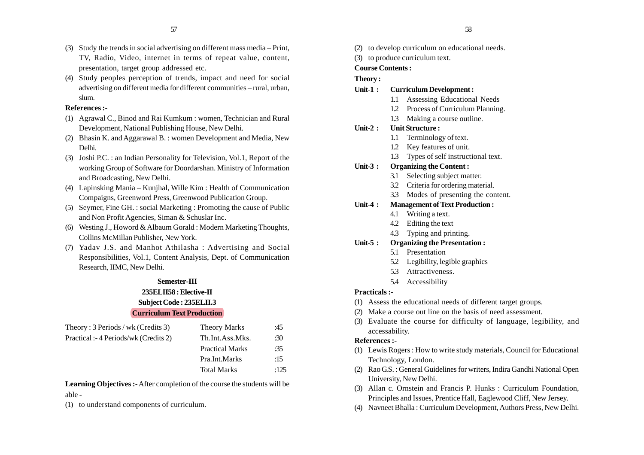- (3) Study the trends in social advertising on different mass media Print, TV, Radio, Video, internet in terms of repeat value, content, presentation, target group addressed etc.
- (4) Study peoples perception of trends, impact and need for social advertising on different media for different communities – rural, urban, slum.

#### **References :-**

- (1) Agrawal C., Binod and Rai Kumkum : women, Technician and Rural Development, National Publishing House, New Delhi.
- (2) Bhasin K. and Aggarawal B. : women Development and Media, New Delhi.
- (3) Joshi P.C. : an Indian Personality for Television, Vol.1, Report of the working Group of Software for Doordarshan. Ministry of Information and Broadcasting, New Delhi.
- (4) Lapinsking Mania Kunjhal, Wille Kim : Health of Communication Compaigns, Greenword Press, Greenwood Publication Group.
- (5) Seymer, Fine GH. : social Marketing : Promoting the cause of Public and Non Profit Agencies, Siman & Schuslar Inc.
- (6) Westing J., Howord & Albaum Gorald : Modern Marketing Thoughts, Collins McMillan Publisher, New York.
- (7) Yadav J.S. and Manhot Athilasha : Advertising and Social Responsibilities, Vol.1, Content Analysis, Dept. of Communication Research, IIMC, New Delhi.

#### **Semester-III**

# **235ELII58 : Elective-II Subject Code : 235ELII.3 Curriculum Text Production**

| Theory: $3$ Periods / wk (Credits 3) | <b>Theory Marks</b>    | :45  |
|--------------------------------------|------------------------|------|
| Practical :-4 Periods/wk (Credits 2) | Th.Int.Ass.Mks.        | :30  |
|                                      | <b>Practical Marks</b> | :35  |
|                                      | Pra.Int.Marks          | :15  |
|                                      | <b>Total Marks</b>     | :125 |

**Learning Objectives :-** After completion of the course the students will be able -

(1) to understand components of curriculum.

- (2) to develop curriculum on educational needs.
- (3) to produce curriculum text.

#### **Course Contents :**

# **Theory :**

#### **Unit-1 : Curriculum Development :**

- 1.1 Assessing Educational Needs
- 1.2 Process of Curriculum Planning.
- 1.3 Making a course outline.

# **Unit-2 : Unit Structure :**

- 1.1 Terminology of text.
- 1.2 Key features of unit.
- 1.3 Types of self instructional text.

# **Unit-3 : Organizing the Content :**

- 3.1 Selecting subject matter.
- 3.2 Criteria for ordering material.
- 3.3 Modes of presenting the content.

# **Unit-4 : Management of Text Production :**

- 4.1 Writing a text.
- 4.2 Editing the text
- 4.3 Typing and printing.

# **Unit-5 : Organizing the Presentation :**

- 5.1 Presentation
- 5.2 Legibility, legible graphics
- 5.3 Attractiveness.
- 5.4 Accessibility

# **Practicals :-**

- (1) Assess the educational needs of different target groups.
- (2) Make a course out line on the basis of need assessment.
- (3) Evaluate the course for difficulty of language, legibility, and accessability.

- (1) Lewis Rogers : How to write study materials, Council for Educational Technology, London.
- (2) Rao G.S. : General Guidelines for writers, Indira Gandhi National Open University, New Delhi.
- (3) Allan c. Ornstein and Francis P. Hunks : Curriculum Foundation, Principles and Issues, Prentice Hall, Eaglewood Cliff, New Jersey.
- (4) Navneet Bhalla : Curriculum Development, Authors Press, New Delhi.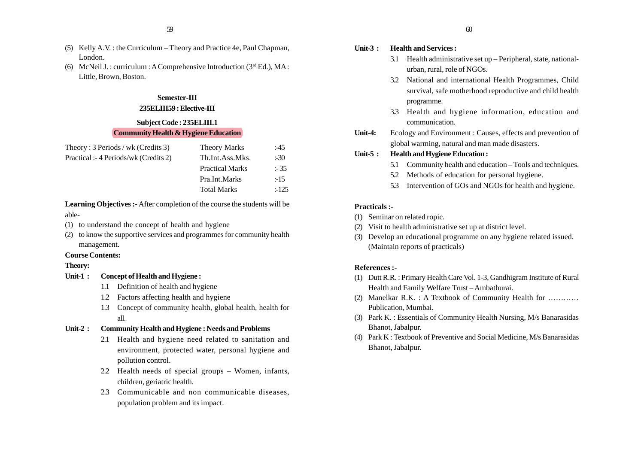- (5) Kelly A.V. : the Curriculum Theory and Practice 4e, Paul Chapman, London.
- (6) McNeil J. : curriculum : A Comprehensive Introduction  $(3<sup>rd</sup> Ed.)$ , MA : Little, Brown, Boston.

# **Semester-III**

# **235ELIII59 : Elective-III**

# **Subject Code : 235ELIII.1**

# **Community Health & Hygiene Education**

| Theory: $3$ Periods / wk (Credits 3) | <b>Theory Marks</b>    | :45    |
|--------------------------------------|------------------------|--------|
| Practical :-4 Periods/wk (Credits 2) | Th.Int.Ass.Mks.        | $-30$  |
|                                      | <b>Practical Marks</b> | : 35   |
|                                      | Pra.Int.Marks          | :15    |
|                                      | <b>Total Marks</b>     | $-125$ |
|                                      |                        |        |

**Learning Objectives :-** After completion of the course the students will be able-

- (1) to understand the concept of health and hygiene
- (2) to know the supportive services and programmes for community health management.

#### **Course Contents:**

#### **Theory:**

- **Unit-1 : Concept of Health and Hygiene :**
	- 1.1 Definition of health and hygiene
	- 1.2 Factors affecting health and hygiene
	- 1.3 Concept of community health, global health, health for all.

# **Unit-2 : Community Health and Hygiene : Needs and Problems**

- 2.1 Health and hygiene need related to sanitation and environment, protected water, personal hygiene and pollution control.
- 2.2 Health needs of special groups Women, infants, children, geriatric health.
- 2.3 Communicable and non communicable diseases, population problem and its impact.

# **Unit-3 : Health and Services :**

- 3.1 Health administrative set up Peripheral, state, nationalurban, rural, role of NGOs.
- 3.2 National and international Health Programmes, Child survival, safe motherhood reproductive and child health programme.
- 3.3 Health and hygiene information, education and communication.
- **Unit-4:** Ecology and Environment : Causes, effects and prevention of global warming, natural and man made disasters.

#### **Unit-5 : Health and Hygiene Education :**

- 5.1 Community health and education Tools and techniques.
- 5.2 Methods of education for personal hygiene.
- 5.3 Intervention of GOs and NGOs for health and hygiene.

#### **Practicals :-**

- (1) Seminar on related ropic.
- (2) Visit to health administrative set up at district level.
- (3) Develop an educational programme on any hygiene related issued. (Maintain reports of practicals)

- (1) Dutt R.R. : Primary Health Care Vol. 1-3, Gandhigram Institute of Rural Health and Family Welfare Trust – Ambathurai.
- (2) Manelkar R.K. : A Textbook of Community Health for ………… Publication, Mumbai.
- (3) Park K. : Essentials of Community Health Nursing, M/s Banarasidas Bhanot, Jabalpur.
- (4) Park K : Textbook of Preventive and Social Medicine, M/s Banarasidas Bhanot, Jabalpur.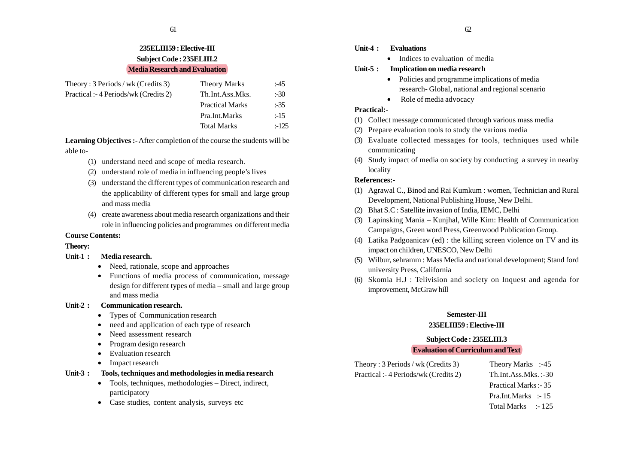# **235ELIII59 : Elective-III Subject Code : 235ELIII.2 Media Research and Evaluation**

| Theory: $3$ Periods / wk (Credits 3) | <b>Theory Marks</b>    | :45    |
|--------------------------------------|------------------------|--------|
| Practical :-4 Periods/wk (Credits 2) | Th.Int.Ass.Mks.        | $-30$  |
|                                      | <b>Practical Marks</b> | :35    |
|                                      | Pra.Int.Marks          | $-15$  |
|                                      | <b>Total Marks</b>     | $-125$ |

**Learning Objectives :-** After completion of the course the students will be able to-

- (1) understand need and scope of media research.
- (2) understand role of media in influencing people's lives
- (3) understand the different types of communication research and the applicability of different types for small and large group and mass media
- (4) create awareness about media research organizations and their role in influencing policies and programmes on different media

# **Course Contents:**

**Theory:**

#### **Unit-1 : Media research.**

- Need, rationale, scope and approaches
- Functions of media process of communication, message design for different types of media – small and large group and mass media

#### **Unit-2 : Communication research.**

- •Types of Communication research
- •need and application of each type of research
- •Need assessment research
- •Program design research
- Evaluation research
- Impact research

#### **Unit-3 : Tools, techniques and methodologies in media research**

- Tools, techniques, methodologies Direct, indirect, participatory
- Case studies, content analysis, surveys etc

#### **Unit-4 : Evaluations**

• Indices to evaluation of media

#### **Unit-5 : Implication on media research**

- Policies and programme implications of media research- Global, national and regional scenario
- Role of media advocacy

# **Practical:-**

- (1) Collect message communicated through various mass media
- (2) Prepare evaluation tools to study the various media
- (3) Evaluate collected messages for tools, techniques used while communicating
- (4) Study impact of media on society by conducting a survey in nearby locality

# **References:-**

- (1) Agrawal C., Binod and Rai Kumkum : women, Technician and Rural Development, National Publishing House, New Delhi.
- (2) Bhat S.C : Satellite invasion of India, IEMC, Delhi
- (3) Lapinsking Mania Kunjhal, Wille Kim: Health of Communication Campaigns, Green word Press, Greenwood Publication Group.
- (4) Latika Padgoanicav (ed) : the killing screen violence on TV and its impact on children, UNESCO, New Delhi
- (5) Wilbur, sehramm : Mass Media and national development; Stand ford university Press, California
- (6) Skomia H.J : Telivision and society on Inquest and agenda for improvement, McGraw hill

# **Semester-III**

#### **235ELIII59 : Elective-III**

# **Subject Code : 235ELIII.3**

# **Evaluation of Curriculum and Text**

Theory : 3 Periods / wk (Credits 3) Theory Marks :-45 Practical :- 4 Periods/wk (Credits 2) Th.Int.Ass.Mks. :-30

Practical Marks :- 35 Pra.Int.Marks :- 15 Total Marks :- 125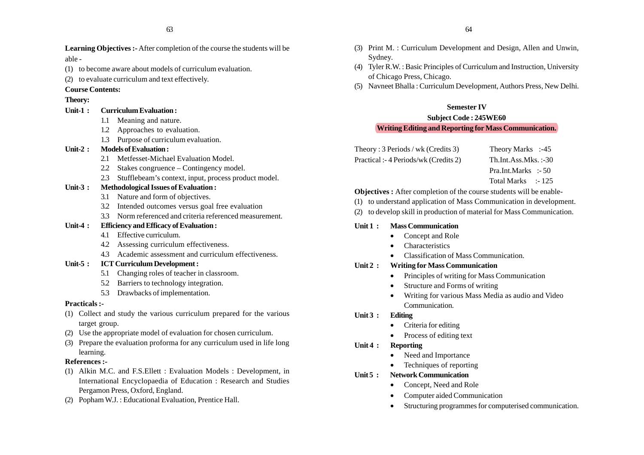**Learning Objectives :-** After completion of the course the students will be able -

- (1) to become aware about models of curriculum evaluation.
- (2) to evaluate curriculum and text effectively.

# **Course Contents:**

# **Theory:**

- **Unit-1 : Curriculum Evaluation :**
	- 1.1 Meaning and nature.
	- 1.2 Approaches to evaluation.
	- 1.3 Purpose of curriculum evaluation.

# **Unit-2 : Models of Evaluation :**

- 2.1 Metfesset-Michael Evaluation Model.
- 2.2 Stakes congruence Contingency model.
- 2.3 Stufflebeam's context, input, process product model.

# **Unit-3 : Methodological Issues of Evaluation :**

- 3.1 Nature and form of objectives.
- 3.2 Intended outcomes versus goal free evaluation
- 3.3 Norm referenced and criteria referenced measurement.

# **Unit-4 : Efficiency and Efficacy of Evaluation :**

- 4.1 Effective curriculum.
- 4.2 Assessing curriculum effectiveness.
- 4.3 Academic assessment and curriculum effectiveness.

# **Unit-5 : ICT Curriculum Development :**

- 5.1 Changing roles of teacher in classroom.
- 5.2 Barriers to technology integration.
- 5.3 Drawbacks of implementation.

# **Practicals :-**

- (1) Collect and study the various curriculum prepared for the various target group.
- (2) Use the appropriate model of evaluation for chosen curriculum.
- (3) Prepare the evaluation proforma for any curriculum used in life long learning.

# **References :-**

- (1) Alkin M.C. and F.S.Ellett : Evaluation Models : Development, in International Encyclopaedia of Education : Research and Studies Pergamon Press, Oxford, England.
- (2) Popham W.J. : Educational Evaluation, Prentice Hall.
- (3) Print M. : Curriculum Development and Design, Allen and Unwin, Sydney.
- (4) Tyler R.W. : Basic Principles of Curriculum and Instruction, University of Chicago Press, Chicago.
- (5) Navneet Bhalla : Curriculum Development, Authors Press, New Delhi.

# **Semester IV**

# **Subject Code : 245WE60 Writing Editing and Reporting for Mass Communication.**

| Theory: $3$ Periods / wk (Credits 3) | Theory Marks :-45       |
|--------------------------------------|-------------------------|
| Practical :-4 Periods/wk (Credits 2) | $Th.Int.Ass.Mks. := 30$ |

Pra.Int.Marks :- 50 Total Marks : 125

# **Objectives :** After completion of the course students will be enable-

# (1) to understand application of Mass Communication in development.

(2) to develop skill in production of material for Mass Communication.

# **Unit 1 : Mass Communication**

- •Concept and Role
- •Characteristics
- Classification of Mass Communication.

# **Unit 2 : Writing for Mass Communication**

- Principles of writing for Mass Communication
- •Structure and Forms of writing
- Writing for various Mass Media as audio and Video Communication.

# **Unit 3 : Editing**

- •Criteria for editing
- •Process of editing text

# **Unit 4 : Reporting**

- •Need and Importance
- •Techniques of reporting
- **Unit 5 : Network Communication**
	- •Concept, Need and Role
	- •Computer aided Communication
	- •Structuring programmes for computerised communication.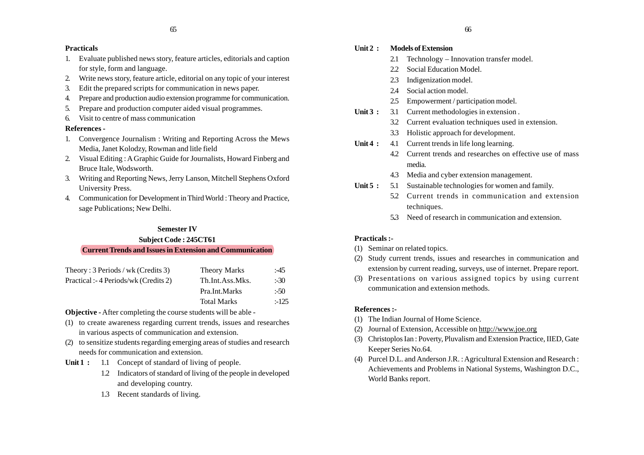#### **Practicals**

- 1. Evaluate published news story, feature articles, editorials and caption for style, form and language.
- 2. Write news story, feature article, editorial on any topic of your interest
- 3. Edit the prepared scripts for communication in news paper.
- 4. Prepare and production audio extension programme for communication.
- 5. Prepare and production computer aided visual programmes.
- 6. Visit to centre of mass communication

#### **References -**

- 1. Convergence Journalism : Writing and Reporting Across the Mews Media, Janet Kolodzy, Rowman and litle field
- 2. Visual Editing : A Graphic Guide for Journalists, Howard Finberg and Bruce Itale, Wodsworth.
- 3. Writing and Reporting News, Jerry Lanson, Mitchell Stephens Oxford University Press.
- 4. Communication for Development in Third World : Theory and Practice, sage Publications; New Delhi.

#### **Semester IV**

# **Subject Code : 245CT61 Current Trends and Issues in Extension and Communication**

| Theory: $3$ Periods / wk (Credits 3) | <b>Theory Marks</b> | :45    |
|--------------------------------------|---------------------|--------|
| Practical :-4 Periods/wk (Credits 2) | Th.Int.Ass.Mks.     | $-30$  |
|                                      | Pra.Int.Marks       | $-50$  |
|                                      | <b>Total Marks</b>  | $-125$ |

**Objective -** After completing the course students will be able -

- (1) to create awareness regarding current trends, issues and researches in various aspects of communication and extension.
- (2) to sensitize students regarding emerging areas of studies and research needs for communication and extension.
- **Unit 1 :** 1.1 Concept of standard of living of people.
	- 1.2 Indicators of standard of living of the people in developed and developing country.
	- 1.3 Recent standards of living.

#### **Unit 2 : Models of Extension**

- 2.1 Technology Innovation transfer model.
- 2.2 Social Education Model.
- 2.3 Indigenization model.
- 2.4 Social action model.
- 2.5 Empowerment / participation model.
- Unit 3 : 3.1 Current methodologies in extension .
	- 3.2 Current evaluation techniques used in extension.
	- 3.3 Holistic approach for development.
- **Unit 4 :** 4.1 Current trends in life long learning.
	- 4.2 Current trends and researches on effective use of mass media.
	- 4.3 Media and cyber extension management.
- **Unit 5 :** 5.1 Sustainable technologies for women and family.
	- 5.2 Current trends in communication and extension techniques.
		- 5**.**3 Need of research in communication and extension.

# **Practicals :-**

- (1) Seminar on related topics.
- (2) Study current trends, issues and researches in communication and extension by current reading, surveys, use of internet. Prepare report.
- (3) Presentations on various assigned topics by using current communication and extension methods.

- (1) The Indian Journal of Home Science.
- (2) Journal of Extension, Accessible on http://www.joe.org
- (3) Christoplos Ian : Poverty, Pluvalism and Extension Practice, IIED, Gate Keeper Series No.64.
- (4) Purcel D.L. and Anderson J.R. : Agricultural Extension and Research : Achievements and Problems in National Systems, Washington D.C., World Banks report.